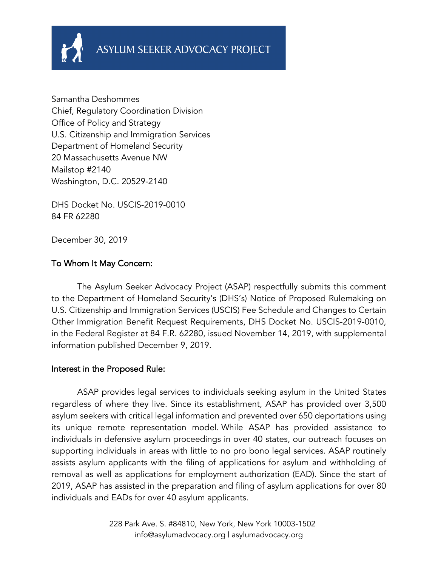

Samantha Deshommes Chief, Regulatory Coordination Division Office of Policy and Strategy U.S. Citizenship and Immigration Services Department of Homeland Security 20 Massachusetts Avenue NW Mailstop #2140 Washington, D.C. 20529-2140

DHS Docket No. USCIS-2019-0010 84 FR 62280

December 30, 2019

### To Whom It May Concern:

The Asylum Seeker Advocacy Project (ASAP) respectfully submits this comment to the Department of Homeland Security's (DHS's) Notice of Proposed Rulemaking on U.S. Citizenship and Immigration Services (USCIS) Fee Schedule and Changes to Certain Other Immigration Benefit Request Requirements, DHS Docket No. USCIS-2019-0010, in the Federal Register at 84 F.R. 62280, issued November 14, 2019, with supplemental information published December 9, 2019.

#### Interest in the Proposed Rule:

ASAP provides legal services to individuals seeking asylum in the United States regardless of where they live. Since its establishment, ASAP has provided over 3,500 asylum seekers with critical legal information and prevented over 650 deportations using its unique remote representation model. While ASAP has provided assistance to individuals in defensive asylum proceedings in over 40 states, our outreach focuses on supporting individuals in areas with little to no pro bono legal services. ASAP routinely assists asylum applicants with the filing of applications for asylum and withholding of removal as well as applications for employment authorization (EAD). Since the start of 2019, ASAP has assisted in the preparation and filing of asylum applications for over 80 individuals and EADs for over 40 asylum applicants.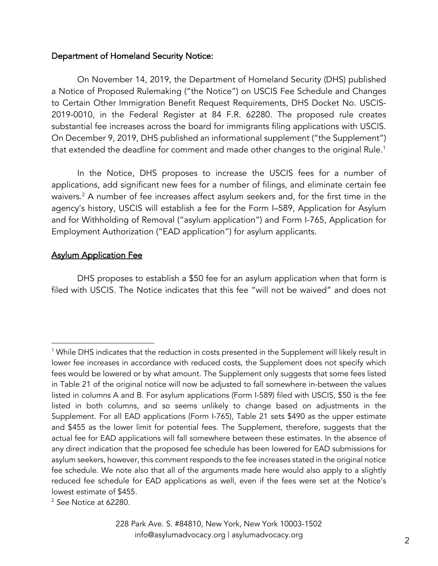#### Department of Homeland Security Notice:

On November 14, 2019, the Department of Homeland Security (DHS) published a Notice of Proposed Rulemaking ("the Notice") on USCIS Fee Schedule and Changes to Certain Other Immigration Benefit Request Requirements, DHS Docket No. USCIS-2019-0010, in the Federal Register at 84 F.R. 62280. The proposed rule creates substantial fee increases across the board for immigrants filing applications with USCIS. On December 9, 2019, DHS published an informational supplement ("the Supplement") that extended the deadline for comment and made other changes to the original Rule.<sup>1</sup>

In the Notice, DHS proposes to increase the USCIS fees for a number of applications, add significant new fees for a number of filings, and eliminate certain fee waivers.<sup>2</sup> A number of fee increases affect asylum seekers and, for the first time in the agency's history, USCIS will establish a fee for the Form I–589, Application for Asylum and for Withholding of Removal ("asylum application") and Form I-765, Application for Employment Authorization ("EAD application") for asylum applicants.

#### Asylum Application Fee

DHS proposes to establish a \$50 fee for an asylum application when that form is filed with USCIS. The Notice indicates that this fee "will not be waived" and does not

<sup>&</sup>lt;sup>1</sup> While DHS indicates that the reduction in costs presented in the Supplement will likely result in lower fee increases in accordance with reduced costs, the Supplement does not specify which fees would be lowered or by what amount. The Supplement only suggests that some fees listed in Table 21 of the original notice will now be adjusted to fall somewhere in-between the values listed in columns A and B. For asylum applications (Form I-589) filed with USCIS, \$50 is the fee listed in both columns, and so seems unlikely to change based on adjustments in the Supplement. For all EAD applications (Form I-765), Table 21 sets \$490 as the upper estimate and \$455 as the lower limit for potential fees. The Supplement, therefore, suggests that the actual fee for EAD applications will fall somewhere between these estimates. In the absence of any direct indication that the proposed fee schedule has been lowered for EAD submissions for asylum seekers, however, this comment responds to the fee increases stated in the original notice fee schedule. We note also that all of the arguments made here would also apply to a slightly reduced fee schedule for EAD applications as well, even if the fees were set at the Notice's lowest estimate of \$455.

<sup>2</sup> *See* Notice at 62280.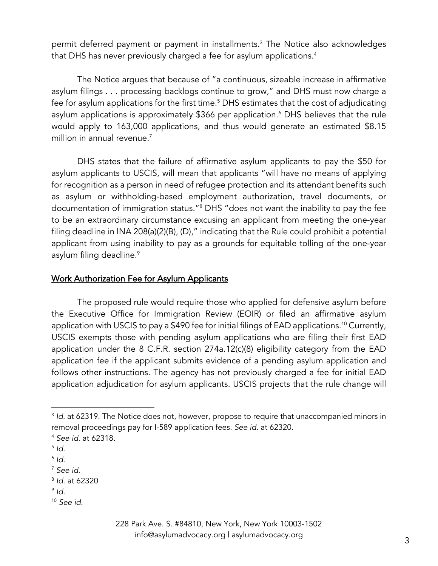permit deferred payment or payment in installments.3 The Notice also acknowledges that DHS has never previously charged a fee for asylum applications.<sup>4</sup>

The Notice argues that because of "a continuous, sizeable increase in affirmative asylum filings . . . processing backlogs continue to grow," and DHS must now charge a fee for asylum applications for the first time.<sup>5</sup> DHS estimates that the cost of adjudicating asylum applications is approximately \$366 per application.<sup>6</sup> DHS believes that the rule would apply to 163,000 applications, and thus would generate an estimated \$8.15 million in annual revenue.<sup>7</sup>

DHS states that the failure of affirmative asylum applicants to pay the \$50 for asylum applicants to USCIS, will mean that applicants "will have no means of applying for recognition as a person in need of refugee protection and its attendant benefits such as asylum or withholding-based employment authorization, travel documents, or documentation of immigration status."8 DHS "does not want the inability to pay the fee to be an extraordinary circumstance excusing an applicant from meeting the one-year filing deadline in INA 208(a)(2)(B), (D)," indicating that the Rule could prohibit a potential applicant from using inability to pay as a grounds for equitable tolling of the one-year asylum filing deadline.<sup>9</sup>

#### Work Authorization Fee for Asylum Applicants

The proposed rule would require those who applied for defensive asylum before the Executive Office for Immigration Review (EOIR) or filed an affirmative asylum application with USCIS to pay a \$490 fee for initial filings of EAD applications. <sup>10</sup> Currently, USCIS exempts those with pending asylum applications who are filing their first EAD application under the 8 C.F.R. section 274a.12(c)(8) eligibility category from the EAD application fee if the applicant submits evidence of a pending asylum application and follows other instructions. The agency has not previously charged a fee for initial EAD application adjudication for asylum applicants. USCIS projects that the rule change will

<sup>&</sup>lt;sup>3</sup> *Id.* at 62319. The Notice does not, however, propose to require that unaccompanied minors in removal proceedings pay for I-589 application fees. *See id*. at 62320.

<sup>4</sup> *See id*. at 62318.

 $5$  *Id.* 

<sup>6</sup> *Id*. 7 *See id*.

<sup>8</sup> *Id*. at 62320

<sup>9</sup> *Id*.

<sup>10</sup> *See id.*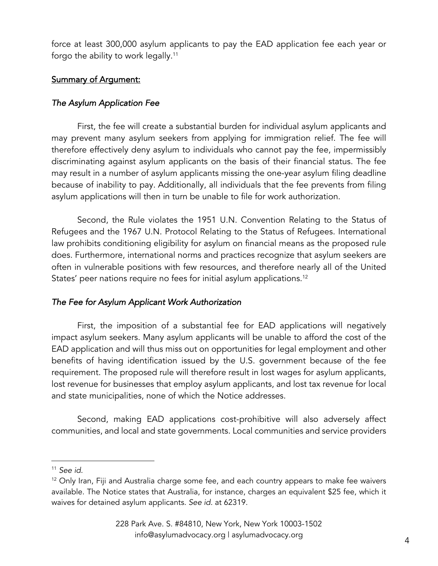force at least 300,000 asylum applicants to pay the EAD application fee each year or forgo the ability to work legally. $^{\rm 11}$ 

## Summary of Argument:

## *The Asylum Application Fee*

First, the fee will create a substantial burden for individual asylum applicants and may prevent many asylum seekers from applying for immigration relief. The fee will therefore effectively deny asylum to individuals who cannot pay the fee, impermissibly discriminating against asylum applicants on the basis of their financial status. The fee may result in a number of asylum applicants missing the one-year asylum filing deadline because of inability to pay. Additionally, all individuals that the fee prevents from filing asylum applications will then in turn be unable to file for work authorization.

Second, the Rule violates the 1951 U.N. Convention Relating to the Status of Refugees and the 1967 U.N. Protocol Relating to the Status of Refugees. International law prohibits conditioning eligibility for asylum on financial means as the proposed rule does. Furthermore, international norms and practices recognize that asylum seekers are often in vulnerable positions with few resources, and therefore nearly all of the United States' peer nations require no fees for initial asylum applications. 12

# *The Fee for Asylum Applicant Work Authorization*

First, the imposition of a substantial fee for EAD applications will negatively impact asylum seekers. Many asylum applicants will be unable to afford the cost of the EAD application and will thus miss out on opportunities for legal employment and other benefits of having identification issued by the U.S. government because of the fee requirement. The proposed rule will therefore result in lost wages for asylum applicants, lost revenue for businesses that employ asylum applicants, and lost tax revenue for local and state municipalities, none of which the Notice addresses.

Second, making EAD applications cost-prohibitive will also adversely affect communities, and local and state governments. Local communities and service providers

<sup>11</sup> *See id*.

 $12$  Only Iran, Fiji and Australia charge some fee, and each country appears to make fee waivers available. The Notice states that Australia, for instance, charges an equivalent \$25 fee, which it waives for detained asylum applicants. *See id.* at 62319.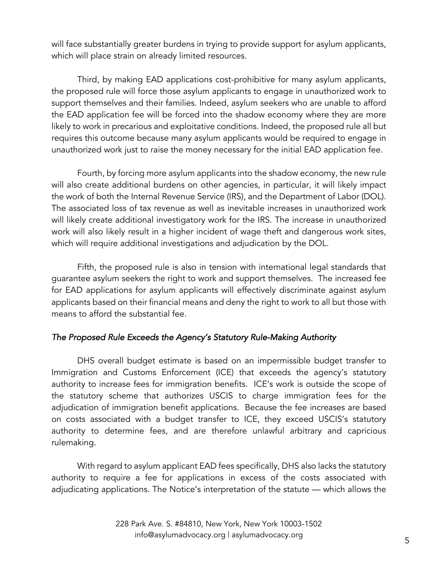will face substantially greater burdens in trying to provide support for asylum applicants, which will place strain on already limited resources.

Third, by making EAD applications cost-prohibitive for many asylum applicants, the proposed rule will force those asylum applicants to engage in unauthorized work to support themselves and their families. Indeed, asylum seekers who are unable to afford the EAD application fee will be forced into the shadow economy where they are more likely to work in precarious and exploitative conditions. Indeed, the proposed rule all but requires this outcome because many asylum applicants would be required to engage in unauthorized work just to raise the money necessary for the initial EAD application fee.

Fourth, by forcing more asylum applicants into the shadow economy, the new rule will also create additional burdens on other agencies, in particular, it will likely impact the work of both the Internal Revenue Service (IRS), and the Department of Labor (DOL). The associated loss of tax revenue as well as inevitable increases in unauthorized work will likely create additional investigatory work for the IRS. The increase in unauthorized work will also likely result in a higher incident of wage theft and dangerous work sites, which will require additional investigations and adjudication by the DOL.

Fifth, the proposed rule is also in tension with international legal standards that guarantee asylum seekers the right to work and support themselves. The increased fee for EAD applications for asylum applicants will effectively discriminate against asylum applicants based on their financial means and deny the right to work to all but those with means to afford the substantial fee.

## *The Proposed Rule Exceeds the Agency's Statutory Rule-Making Authority*

DHS overall budget estimate is based on an impermissible budget transfer to Immigration and Customs Enforcement (ICE) that exceeds the agency's statutory authority to increase fees for immigration benefits. ICE's work is outside the scope of the statutory scheme that authorizes USCIS to charge immigration fees for the adjudication of immigration benefit applications. Because the fee increases are based on costs associated with a budget transfer to ICE, they exceed USCIS's statutory authority to determine fees, and are therefore unlawful arbitrary and capricious rulemaking.

With regard to asylum applicant EAD fees specifically, DHS also lacks the statutory authority to require a fee for applications in excess of the costs associated with adjudicating applications. The Notice's interpretation of the statute — which allows the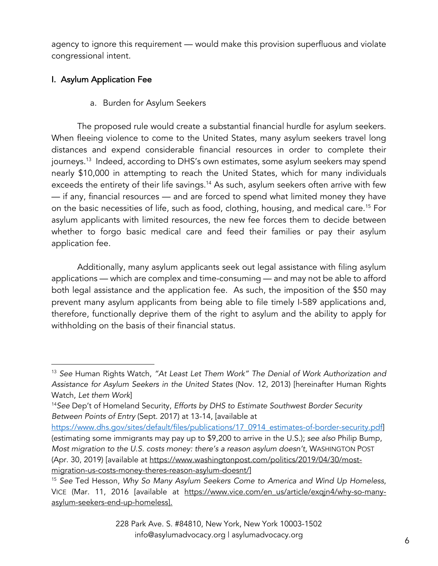agency to ignore this requirement — would make this provision superfluous and violate congressional intent.

# I. Asylum Application Fee

a. Burden for Asylum Seekers

The proposed rule would create a substantial financial hurdle for asylum seekers. When fleeing violence to come to the United States, many asylum seekers travel long distances and expend considerable financial resources in order to complete their journeys.<sup>13</sup> Indeed, according to DHS's own estimates, some asylum seekers may spend nearly \$10,000 in attempting to reach the United States, which for many individuals exceeds the entirety of their life savings.<sup>14</sup> As such, asylum seekers often arrive with few — if any, financial resources — and are forced to spend what limited money they have on the basic necessities of life, such as food, clothing, housing, and medical care.15 For asylum applicants with limited resources, the new fee forces them to decide between whether to forgo basic medical care and feed their families or pay their asylum application fee.

Additionally, many asylum applicants seek out legal assistance with filing asylum applications — which are complex and time-consuming — and may not be able to afford both legal assistance and the application fee. As such, the imposition of the \$50 may prevent many asylum applicants from being able to file timely I-589 applications and, therefore, functionally deprive them of the right to asylum and the ability to apply for withholding on the basis of their financial status.

<sup>13</sup> *See* Human Rights Watch, *"At Least Let Them Work" The Denial of Work Authorization and Assistance for Asylum Seekers in the United States* (Nov. 12, 2013) [hereinafter Human Rights Watch, *Let them Work*]

<sup>14</sup>*See* Dep't of Homeland Security, *Efforts by DHS to Estimate Southwest Border Security Between Points of Entry* (Sept. 2017) at 13-14, [available at

https://www.dhs.gov/sites/default/files/publications/17\_0914\_estimates-of-border-security.pdf (estimating some immigrants may pay up to \$9,200 to arrive in the U.S.); *see also* Philip Bump, *Most migration to the U.S. costs money: there's a reason asylum doesn't,* WASHINGTON POST (Apr. 30, 2019) [available at https://www.washingtonpost.com/politics/2019/04/30/mostmigration-us-costs-money-theres-reason-asylum-doesnt/]

<sup>15</sup> *See* Ted Hesson, *Why So Many Asylum Seekers Come to America and Wind Up Homeless*, VICE (Mar. 11, 2016 [available at https://www.vice.com/en\_us/article/exqjn4/why-so-manyasylum-seekers-end-up-homeless].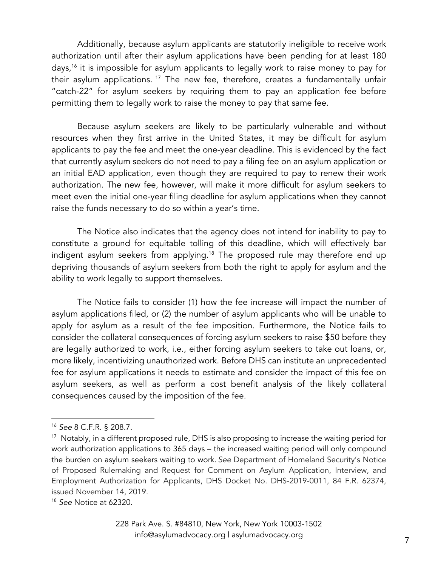Additionally, because asylum applicants are statutorily ineligible to receive work authorization until after their asylum applications have been pending for at least 180 days,<sup>16</sup> it is impossible for asylum applicants to legally work to raise money to pay for their asylum applications.  $17$  The new fee, therefore, creates a fundamentally unfair "catch-22" for asylum seekers by requiring them to pay an application fee before permitting them to legally work to raise the money to pay that same fee.

Because asylum seekers are likely to be particularly vulnerable and without resources when they first arrive in the United States, it may be difficult for asylum applicants to pay the fee and meet the one-year deadline. This is evidenced by the fact that currently asylum seekers do not need to pay a filing fee on an asylum application or an initial EAD application, even though they are required to pay to renew their work authorization. The new fee, however, will make it more difficult for asylum seekers to meet even the initial one-year filing deadline for asylum applications when they cannot raise the funds necessary to do so within a year's time.

The Notice also indicates that the agency does not intend for inability to pay to constitute a ground for equitable tolling of this deadline, which will effectively bar indigent asylum seekers from applying.<sup>18</sup> The proposed rule may therefore end up depriving thousands of asylum seekers from both the right to apply for asylum and the ability to work legally to support themselves.

The Notice fails to consider (1) how the fee increase will impact the number of asylum applications filed, or (2) the number of asylum applicants who will be unable to apply for asylum as a result of the fee imposition. Furthermore, the Notice fails to consider the collateral consequences of forcing asylum seekers to raise \$50 before they are legally authorized to work, i.e., either forcing asylum seekers to take out loans, or, more likely, incentivizing unauthorized work. Before DHS can institute an unprecedented fee for asylum applications it needs to estimate and consider the impact of this fee on asylum seekers, as well as perform a cost benefit analysis of the likely collateral consequences caused by the imposition of the fee.

<sup>18</sup> *See* Notice at 62320.

<sup>16</sup> *See* 8 C.F.R. § 208.7.

<sup>&</sup>lt;sup>17</sup> Notably, in a different proposed rule, DHS is also proposing to increase the waiting period for work authorization applications to 365 days – the increased waiting period will only compound the burden on asylum seekers waiting to work. *See* Department of Homeland Security's Notice of Proposed Rulemaking and Request for Comment on Asylum Application, Interview, and Employment Authorization for Applicants, DHS Docket No. DHS-2019-0011, 84 F.R. 62374, issued November 14, 2019.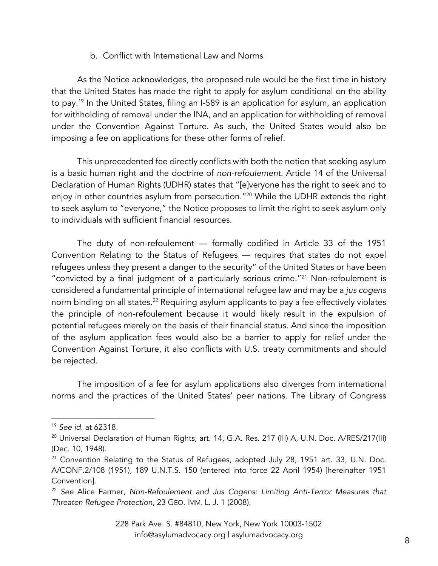#### b. Conflict with International Law and Norms

As the Notice acknowledges, the proposed rule would be the first time in history that the United States has made the right to apply for asylum conditional on the ability to pay.<sup>19</sup> In the United States, filing an I-589 is an application for asylum, an application for withholding of removal under the INA, and an application for withholding of removal under the Convention Against Torture. As such, the United States would also be imposing a fee on applications for these other forms of relief.

This unprecedented fee directly conflicts with both the notion that seeking asylum is a basic human right and the doctrine of *non-refoulement*. Article 14 of the Universal Declaration of Human Rights (UDHR) states that "[e]veryone has the right to seek and to enjoy in other countries asylum from persecution."20 While the UDHR extends the right to seek asylum to "everyone," the Notice proposes to limit the right to seek asylum only to individuals with sufficient financial resources.

The duty of non-refoulement — formally codified in Article 33 of the 1951 Convention Relating to the Status of Refugees — requires that states do not expel refugees unless they present a danger to the security" of the United States or have been "convicted by a final judgment of a particularly serious crime."21 Non-refoulement is considered a fundamental principle of international refugee law and may be a *jus cogens* norm binding on all states.<sup>22</sup> Requiring asylum applicants to pay a fee effectively violates the principle of non-refoulement because it would likely result in the expulsion of potential refugees merely on the basis of their financial status. And since the imposition of the asylum application fees would also be a barrier to apply for relief under the Convention Against Torture, it also conflicts with U.S. treaty commitments and should be rejected.

The imposition of a fee for asylum applications also diverges from international norms and the practices of the United States' peer nations. The Library of Congress

<sup>19</sup> *See id*. at 62318.

<sup>&</sup>lt;sup>20</sup> Universal Declaration of Human Rights, art. 14, G.A. Res. 217 (III) A, U.N. Doc. A/RES/217(III) (Dec. 10, 1948).

<sup>&</sup>lt;sup>21</sup> Convention Relating to the Status of Refugees, adopted July 28, 1951 art. 33, U.N. Doc. A/CONF.2/108 (1951), 189 U.N.T.S. 150 (entered into force 22 April 1954) [hereinafter 1951 Convention].

<sup>22</sup> *See* Alice Farmer, *Non-Refoulement and Jus Cogens: Limiting Anti-Terror Measures that Threaten Refugee Protection*, 23 GEO. IMM. L. J. 1 (2008).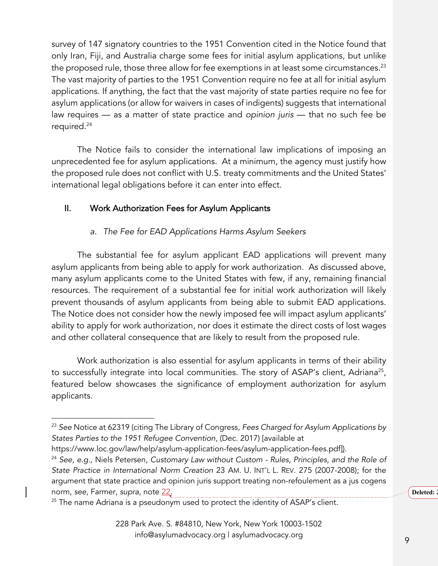survey of 147 signatory countries to the 1951 Convention cited in the Notice found that only Iran, Fiji, and Australia charge some fees for initial asylum applications, but unlike the proposed rule, those three allow for fee exemptions in at least some circumstances.<sup>23</sup> The vast majority of parties to the 1951 Convention require no fee at all for initial asylum applications. If anything, the fact that the vast majority of state parties require no fee for asylum applications (or allow for waivers in cases of indigents) suggests that international law requires — as a matter of state practice and *opinion juris* — that no such fee be required.24

The Notice fails to consider the international law implications of imposing an unprecedented fee for asylum applications. At a minimum, the agency must justify how the proposed rule does not conflict with U.S. treaty commitments and the United States' international legal obligations before it can enter into effect.

## II. Work Authorization Fees for Asylum Applicants

## *a. The Fee for EAD Applications Harms Asylum Seekers*

The substantial fee for asylum applicant EAD applications will prevent many asylum applicants from being able to apply for work authorization. As discussed above, many asylum applicants come to the United States with few, if any, remaining financial resources. The requirement of a substantial fee for initial work authorization will likely prevent thousands of asylum applicants from being able to submit EAD applications. The Notice does not consider how the newly imposed fee will impact asylum applicants' ability to apply for work authorization, nor does it estimate the direct costs of lost wages and other collateral consequence that are likely to result from the proposed rule.

Work authorization is also essential for asylum applicants in terms of their ability to successfully integrate into local communities. The story of ASAP's client, Adriana<sup>25</sup>, featured below showcases the significance of employment authorization for asylum applicants.

**Deleted:** 

<sup>23</sup> *See* Notice at 62319 (citing The Library of Congress, *Fees Charged for Asylum Applications by States Parties to the 1951 Refugee Convention*, (Dec. 2017) [available at

https://www.loc.gov/law/help/asylum-application-fees/asylum-application-fees.pdf]).

<sup>24</sup> *See, e.g.,* Niels Petersen, *Customary Law without Custom - Rules, Principles, and the Role of State Practice in International Norm Creation* 23 AM. U. INT'L L. REV. 275 (2007-2008); for the argument that state practice and opinion juris support treating non-refoulement as a jus cogens norm, *see*, Farmer, *supra*, note 22.

<sup>&</sup>lt;sup>25</sup> The name Adriana is a pseudonym used to protect the identity of ASAP's client.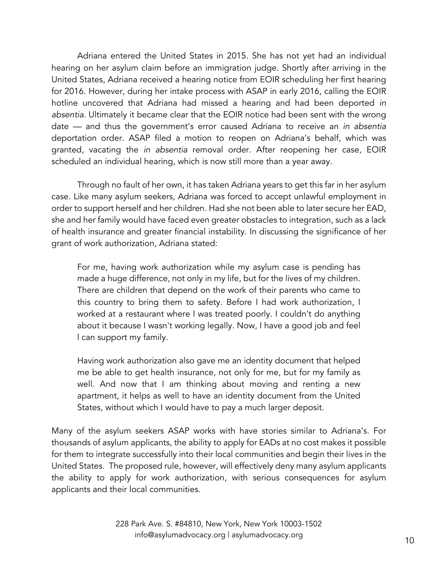Adriana entered the United States in 2015. She has not yet had an individual hearing on her asylum claim before an immigration judge. Shortly after arriving in the United States, Adriana received a hearing notice from EOIR scheduling her first hearing for 2016. However, during her intake process with ASAP in early 2016, calling the EOIR hotline uncovered that Adriana had missed a hearing and had been deported *in absentia*. Ultimately it became clear that the EOIR notice had been sent with the wrong date — and thus the government's error caused Adriana to receive an *in absentia* deportation order. ASAP filed a motion to reopen on Adriana's behalf, which was granted, vacating the *in absentia* removal order. After reopening her case, EOIR scheduled an individual hearing, which is now still more than a year away.

Through no fault of her own, it has taken Adriana years to get this far in her asylum case. Like many asylum seekers, Adriana was forced to accept unlawful employment in order to support herself and her children. Had she not been able to later secure her EAD, she and her family would have faced even greater obstacles to integration, such as a lack of health insurance and greater financial instability. In discussing the significance of her grant of work authorization, Adriana stated:

For me, having work authorization while my asylum case is pending has made a huge difference, not only in my life, but for the lives of my children. There are children that depend on the work of their parents who came to this country to bring them to safety. Before I had work authorization, I worked at a restaurant where I was treated poorly. I couldn't do anything about it because I wasn't working legally. Now, I have a good job and feel l can support my family.

Having work authorization also gave me an identity document that helped me be able to get health insurance, not only for me, but for my family as well. And now that I am thinking about moving and renting a new apartment, it helps as well to have an identity document from the United States, without which I would have to pay a much larger deposit.

Many of the asylum seekers ASAP works with have stories similar to Adriana's. For thousands of asylum applicants, the ability to apply for EADs at no cost makes it possible for them to integrate successfully into their local communities and begin their lives in the United States. The proposed rule, however, will effectively deny many asylum applicants the ability to apply for work authorization, with serious consequences for asylum applicants and their local communities.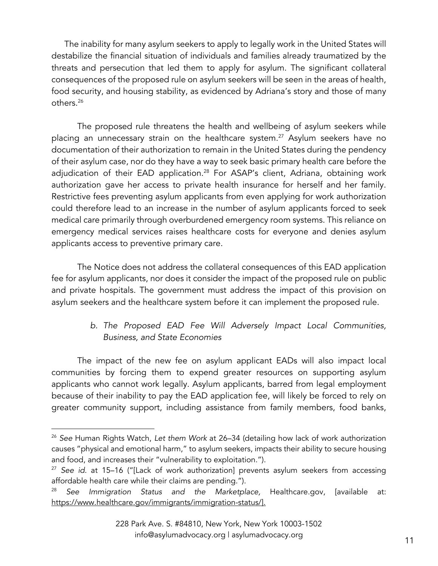The inability for many asylum seekers to apply to legally work in the United States will destabilize the financial situation of individuals and families already traumatized by the threats and persecution that led them to apply for asylum. The significant collateral consequences of the proposed rule on asylum seekers will be seen in the areas of health, food security, and housing stability, as evidenced by Adriana's story and those of many others. 26

The proposed rule threatens the health and wellbeing of asylum seekers while placing an unnecessary strain on the healthcare system.<sup>27</sup> Asylum seekers have no documentation of their authorization to remain in the United States during the pendency of their asylum case, nor do they have a way to seek basic primary health care before the adjudication of their EAD application.<sup>28</sup> For ASAP's client, Adriana, obtaining work authorization gave her access to private health insurance for herself and her family. Restrictive fees preventing asylum applicants from even applying for work authorization could therefore lead to an increase in the number of asylum applicants forced to seek medical care primarily through overburdened emergency room systems. This reliance on emergency medical services raises healthcare costs for everyone and denies asylum applicants access to preventive primary care.

The Notice does not address the collateral consequences of this EAD application fee for asylum applicants, nor does it consider the impact of the proposed rule on public and private hospitals. The government must address the impact of this provision on asylum seekers and the healthcare system before it can implement the proposed rule.

## *b. The Proposed EAD Fee Will Adversely Impact Local Communities, Business, and State Economies*

The impact of the new fee on asylum applicant EADs will also impact local communities by forcing them to expend greater resources on supporting asylum applicants who cannot work legally. Asylum applicants, barred from legal employment because of their inability to pay the EAD application fee, will likely be forced to rely on greater community support, including assistance from family members, food banks,

<sup>26</sup> *See* Human Rights Watch, *Let them Work* at 26–34 (detailing how lack of work authorization causes "physical and emotional harm," to asylum seekers, impacts their ability to secure housing and food, and increases their "vulnerability to exploitation.").

<sup>27</sup> *See id*. at 15–16 ("[Lack of work authorization] prevents asylum seekers from accessing affordable health care while their claims are pending.").

<sup>28</sup> *See Immigration Status and the Marketplace,* Healthcare.gov, [available at: https://www.healthcare.gov/immigrants/immigration-status/].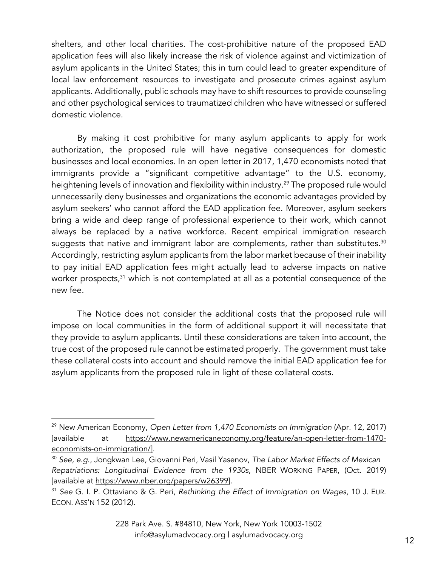shelters, and other local charities. The cost-prohibitive nature of the proposed EAD application fees will also likely increase the risk of violence against and victimization of asylum applicants in the United States; this in turn could lead to greater expenditure of local law enforcement resources to investigate and prosecute crimes against asylum applicants. Additionally, public schools may have to shift resources to provide counseling and other psychological services to traumatized children who have witnessed or suffered domestic violence.

By making it cost prohibitive for many asylum applicants to apply for work authorization, the proposed rule will have negative consequences for domestic businesses and local economies. In an open letter in 2017, 1,470 economists noted that immigrants provide a "significant competitive advantage" to the U.S. economy, heightening levels of innovation and flexibility within industry.<sup>29</sup> The proposed rule would unnecessarily deny businesses and organizations the economic advantages provided by asylum seekers' who cannot afford the EAD application fee. Moreover, asylum seekers bring a wide and deep range of professional experience to their work, which cannot always be replaced by a native workforce. Recent empirical immigration research suggests that native and immigrant labor are complements, rather than substitutes.<sup>30</sup> Accordingly, restricting asylum applicants from the labor market because of their inability to pay initial EAD application fees might actually lead to adverse impacts on native worker prospects,<sup>31</sup> which is not contemplated at all as a potential consequence of the new fee.

The Notice does not consider the additional costs that the proposed rule will impose on local communities in the form of additional support it will necessitate that they provide to asylum applicants. Until these considerations are taken into account, the true cost of the proposed rule cannot be estimated properly. The government must take these collateral costs into account and should remove the initial EAD application fee for asylum applicants from the proposed rule in light of these collateral costs.

<sup>29</sup> New American Economy, *Open Letter from 1,470 Economists on Immigration* (Apr. 12, 2017) [available at https://www.newamericaneconomy.org/feature/an-open-letter-from-1470 economists-on-immigration/].

<sup>30</sup> *See, e.g*., Jongkwan Lee, Giovanni Peri, Vasil Yasenov, *The Labor Market Effects of Mexican Repatriations: Longitudinal Evidence from the 1930s*, NBER WORKING PAPER, (Oct. 2019) [available at https://www.nber.org/papers/w26399].

<sup>31</sup> *See* G. I. P. Ottaviano & G. Peri, *Rethinking the Effect of Immigration on Wages*, 10 J. EUR. ECON. ASS'N 152 (2012).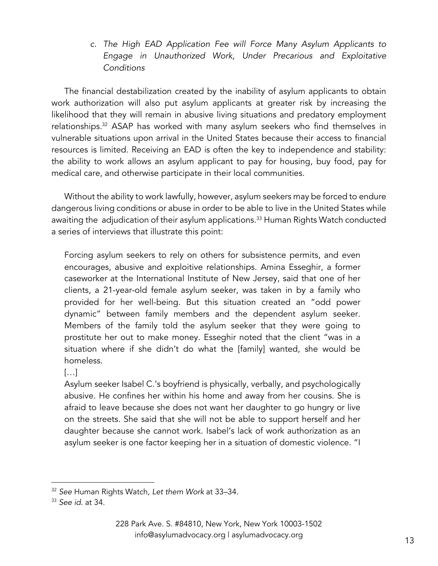*c. The High EAD Application Fee will Force Many Asylum Applicants to Engage in Unauthorized Work, Under Precarious and Exploitative Conditions*

The financial destabilization created by the inability of asylum applicants to obtain work authorization will also put asylum applicants at greater risk by increasing the likelihood that they will remain in abusive living situations and predatory employment relationships.<sup>32</sup> ASAP has worked with many asylum seekers who find themselves in vulnerable situations upon arrival in the United States because their access to financial resources is limited. Receiving an EAD is often the key to independence and stability: the ability to work allows an asylum applicant to pay for housing, buy food, pay for medical care, and otherwise participate in their local communities.

Without the ability to work lawfully, however, asylum seekers may be forced to endure dangerous living conditions or abuse in order to be able to live in the United States while awaiting the adjudication of their asylum applications.<sup>33</sup> Human Rights Watch conducted a series of interviews that illustrate this point:

Forcing asylum seekers to rely on others for subsistence permits, and even encourages, abusive and exploitive relationships. Amina Esseghir, a former caseworker at the International Institute of New Jersey, said that one of her clients, a 21-year-old female asylum seeker, was taken in by a family who provided for her well-being. But this situation created an "odd power dynamic" between family members and the dependent asylum seeker. Members of the family told the asylum seeker that they were going to prostitute her out to make money. Esseghir noted that the client "was in a situation where if she didn't do what the [family] wanted, she would be homeless.

[…]

Asylum seeker Isabel C.'s boyfriend is physically, verbally, and psychologically abusive. He confines her within his home and away from her cousins. She is afraid to leave because she does not want her daughter to go hungry or live on the streets. She said that she will not be able to support herself and her daughter because she cannot work. Isabel's lack of work authorization as an asylum seeker is one factor keeping her in a situation of domestic violence. "I

<sup>32</sup> *See* Human Rights Watch, *Let them Work* at 33–34.

<sup>33</sup> *See id.* at 34.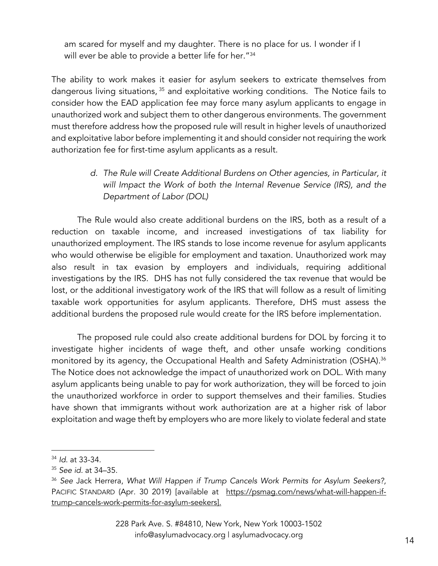am scared for myself and my daughter. There is no place for us. I wonder if I will ever be able to provide a better life for her."<sup>34</sup>

The ability to work makes it easier for asylum seekers to extricate themselves from dangerous living situations, <sup>35</sup> and exploitative working conditions. The Notice fails to consider how the EAD application fee may force many asylum applicants to engage in unauthorized work and subject them to other dangerous environments. The government must therefore address how the proposed rule will result in higher levels of unauthorized and exploitative labor before implementing it and should consider not requiring the work authorization fee for first-time asylum applicants as a result.

> *d. The Rule will Create Additional Burdens on Other agencies, in Particular, it will Impact the Work of both the Internal Revenue Service (IRS), and the Department of Labor (DOL)*

The Rule would also create additional burdens on the IRS, both as a result of a reduction on taxable income, and increased investigations of tax liability for unauthorized employment. The IRS stands to lose income revenue for asylum applicants who would otherwise be eligible for employment and taxation. Unauthorized work may also result in tax evasion by employers and individuals, requiring additional investigations by the IRS. DHS has not fully considered the tax revenue that would be lost, or the additional investigatory work of the IRS that will follow as a result of limiting taxable work opportunities for asylum applicants. Therefore, DHS must assess the additional burdens the proposed rule would create for the IRS before implementation.

The proposed rule could also create additional burdens for DOL by forcing it to investigate higher incidents of wage theft, and other unsafe working conditions monitored by its agency, the Occupational Health and Safety Administration (OSHA).<sup>36</sup> The Notice does not acknowledge the impact of unauthorized work on DOL. With many asylum applicants being unable to pay for work authorization, they will be forced to join the unauthorized workforce in order to support themselves and their families. Studies have shown that immigrants without work authorization are at a higher risk of labor exploitation and wage theft by employers who are more likely to violate federal and state

<sup>34</sup> *Id*. at 33-34.

<sup>35</sup> *See id.* at 34–35.

<sup>36</sup> *See* Jack Herrera, *What Will Happen if Trump Cancels Work Permits for Asylum Seekers?,* PACIFIC STANDARD (Apr. 30 2019) [available at https://psmag.com/news/what-will-happen-iftrump-cancels-work-permits-for-asylum-seekers].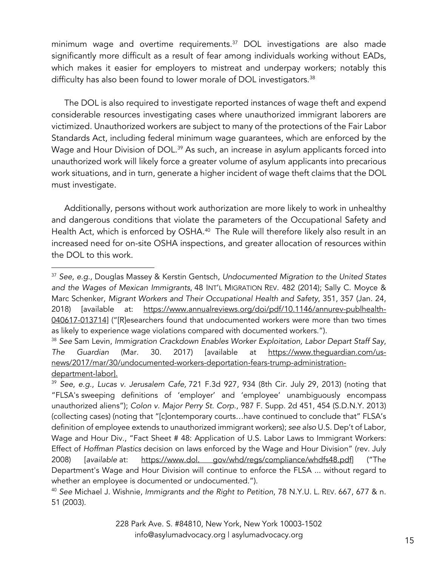minimum wage and overtime requirements. $37$  DOL investigations are also made significantly more difficult as a result of fear among individuals working without EADs, which makes it easier for employers to mistreat and underpay workers; notably this difficulty has also been found to lower morale of DOL investigators.<sup>38</sup>

The DOL is also required to investigate reported instances of wage theft and expend considerable resources investigating cases where unauthorized immigrant laborers are victimized. Unauthorized workers are subject to many of the protections of the Fair Labor Standards Act, including federal minimum wage guarantees, which are enforced by the Wage and Hour Division of DOL.<sup>39</sup> As such, an increase in asylum applicants forced into unauthorized work will likely force a greater volume of asylum applicants into precarious work situations, and in turn, generate a higher incident of wage theft claims that the DOL must investigate.

Additionally, persons without work authorization are more likely to work in unhealthy and dangerous conditions that violate the parameters of the Occupational Safety and Health Act, which is enforced by OSHA.<sup>40</sup> The Rule will therefore likely also result in an increased need for on-site OSHA inspections, and greater allocation of resources within the DOL to this work.

<sup>37</sup> *See*, *e.g*., Douglas Massey & Kerstin Gentsch, *Undocumented Migration to the United States and the Wages of Mexican Immigrants*, 48 INT'L MIGRATION REV. 482 (2014); Sally C. Moyce & Marc Schenker, *Migrant Workers and Their Occupational Health and Safety*, 351, 357 (Jan. 24, 2018) [available at: https://www.annualreviews.org/doi/pdf/10.1146/annurev-publhealth-040617-013714] ("[R]esearchers found that undocumented workers were more than two times as likely to experience wage violations compared with documented workers.").

<sup>38</sup> *See* Sam Levin, *Immigration Crackdown Enables Worker Exploitation, Labor Depart Staff Say*, *The Guardian* (Mar. 30. 2017) [available at https://www.theguardian.com/usnews/2017/mar/30/undocumented-workers-deportation-fears-trump-administrationdepartment-labor].

<sup>39</sup> *See*, *e.g*., *Lucas v. Jerusalem Cafe,* 721 F.3d 927, 934 (8th Cir. July 29, 2013) (noting that "FLSA's sweeping definitions of 'employer' and 'employee' unambiguously encompass unauthorized aliens"); *Colon v. Major Perry St. Corp*., 987 F. Supp. 2d 451, 454 (S.D.N.Y. 2013) (collecting cases) (noting that "[c]ontemporary courts…have continued to conclude that" FLSA's definition of employee extends to unauthorized immigrant workers); *see also* U.S. Dep't of Labor, Wage and Hour Div., "Fact Sheet # 48: Application of U.S. Labor Laws to Immigrant Workers: Effect of *Hoffman Plastics* decision on laws enforced by the Wage and Hour Division" (rev. July 2008) [*available* at: https://www.dol. gov/whd/regs/compliance/whdfs48.pdf] ("The Department's Wage and Hour Division will continue to enforce the FLSA ... without regard to whether an employee is documented or undocumented.").

<sup>40</sup> *See* Michael J. Wishnie, *Immigrants and the Right to Petition*, 78 N.Y.U. L. REV. 667, 677 & n. 51 (2003).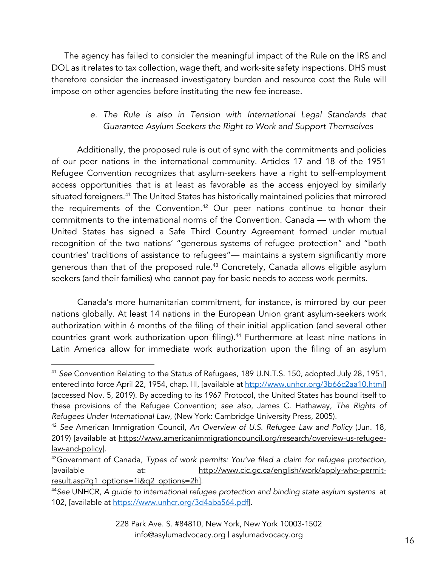The agency has failed to consider the meaningful impact of the Rule on the IRS and DOL as it relates to tax collection, wage theft, and work-site safety inspections. DHS must therefore consider the increased investigatory burden and resource cost the Rule will impose on other agencies before instituting the new fee increase.

## *e. The Rule is also in Tension with International Legal Standards that Guarantee Asylum Seekers the Right to Work and Support Themselves*

Additionally, the proposed rule is out of sync with the commitments and policies of our peer nations in the international community. Articles 17 and 18 of the 1951 Refugee Convention recognizes that asylum-seekers have a right to self-employment access opportunities that is at least as favorable as the access enjoyed by similarly situated foreigners.<sup>41</sup> The United States has historically maintained policies that mirrored the requirements of the Convention.<sup>42</sup> Our peer nations continue to honor their commitments to the international norms of the Convention. Canada — with whom the United States has signed a Safe Third Country Agreement formed under mutual recognition of the two nations' "generous systems of refugee protection" and "both countries' traditions of assistance to refugees"— maintains a system significantly more generous than that of the proposed rule.<sup>43</sup> Concretely, Canada allows eligible asylum seekers (and their families) who cannot pay for basic needs to access work permits.

Canada's more humanitarian commitment, for instance, is mirrored by our peer nations globally. At least 14 nations in the European Union grant asylum-seekers work authorization within 6 months of the filing of their initial application (and several other countries grant work authorization upon filing).<sup>44</sup> Furthermore at least nine nations in Latin America allow for immediate work authorization upon the filing of an asylum

<sup>41</sup> *See* Convention Relating to the Status of Refugees, 189 U.N.T.S. 150, adopted July 28, 1951, entered into force April 22, 1954, chap. III, [available at http://www.unhcr.org/3b66c2aa10.html] (accessed Nov. 5, 2019). By acceding to its 1967 Protocol, the United States has bound itself to these provisions of the Refugee Convention; *see also*, James C. Hathaway, *The Rights of Refugees Under International Law*, (New York: Cambridge University Press, 2005).

<sup>42</sup> *See* American Immigration Council, *An Overview of U.S. Refugee Law and Policy* (Jun. 18, 2019) [available at https://www.americanimmigrationcouncil.org/research/overview-us-refugeelaw-and-policy].

<sup>43</sup>Government of Canada, *Types of work permits: You've filed a claim for refugee protection,*  [available at: http://www.cic.gc.ca/english/work/apply-who-permitresult.asp?q1\_options=1i&q2\_options=2h].

<sup>44</sup>*See* UNHCR, *A guide to international refugee protection and binding state asylum systems* at 102, [available at https://www.unhcr.org/3d4aba564.pdf].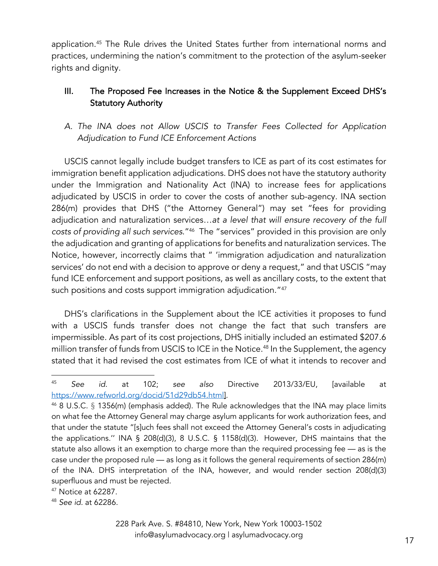application.45 The Rule drives the United States further from international norms and practices, undermining the nation's commitment to the protection of the asylum-seeker rights and dignity.

# III. The Proposed Fee Increases in the Notice & the Supplement Exceed DHS's Statutory Authority

*A. The INA does not Allow USCIS to Transfer Fees Collected for Application Adjudication to Fund ICE Enforcement Actions*

USCIS cannot legally include budget transfers to ICE as part of its cost estimates for immigration benefit application adjudications. DHS does not have the statutory authority under the Immigration and Nationality Act (INA) to increase fees for applications adjudicated by USCIS in order to cover the costs of another sub-agency. INA section 286(m) provides that DHS ("the Attorney General") may set "fees for providing adjudication and naturalization services…*at a level that will ensure recovery of the full costs of providing all such services*."46 The "services" provided in this provision are only the adjudication and granting of applications for benefits and naturalization services. The Notice, however, incorrectly claims that " 'immigration adjudication and naturalization services' do not end with a decision to approve or deny a request," and that USCIS "may fund ICE enforcement and support positions, as well as ancillary costs, to the extent that such positions and costs support immigration adjudication."47

DHS's clarifications in the Supplement about the ICE activities it proposes to fund with a USCIS funds transfer does not change the fact that such transfers are impermissible. As part of its cost projections, DHS initially included an estimated \$207.6 million transfer of funds from USCIS to ICE in the Notice. <sup>48</sup> In the Supplement, the agency stated that it had revised the cost estimates from ICE of what it intends to recover and

<sup>45</sup> *See id.* at 102; *see also* Directive 2013/33/EU, [available at https://www.refworld.org/docid/51d29db54.html].

<sup>46</sup> 8 U.S.C. § 1356(m) (emphasis added). The Rule acknowledges that the INA may place limits on what fee the Attorney General may charge asylum applicants for work authorization fees, and that under the statute "[s]uch fees shall not exceed the Attorney General's costs in adjudicating the applications." INA § 208(d)(3), 8 U.S.C. § 1158(d)(3). However, DHS maintains that the statute also allows it an exemption to charge more than the required processing fee — as is the case under the proposed rule — as long as it follows the general requirements of section 286(m) of the INA. DHS interpretation of the INA, however, and would render section 208(d)(3) superfluous and must be rejected.

<sup>47</sup> Notice at 62287.

<sup>48</sup> *See id.* at 62286.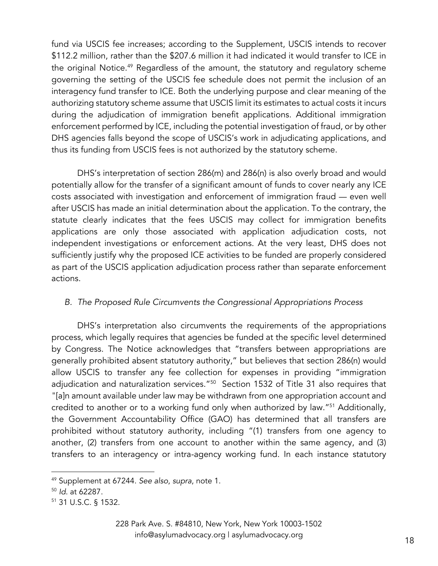fund via USCIS fee increases; according to the Supplement, USCIS intends to recover \$112.2 million, rather than the \$207.6 million it had indicated it would transfer to ICE in the original Notice. <sup>49</sup> Regardless of the amount, the statutory and regulatory scheme governing the setting of the USCIS fee schedule does not permit the inclusion of an interagency fund transfer to ICE. Both the underlying purpose and clear meaning of the authorizing statutory scheme assume that USCIS limit its estimates to actual costs it incurs during the adjudication of immigration benefit applications. Additional immigration enforcement performed by ICE, including the potential investigation of fraud, or by other DHS agencies falls beyond the scope of USCIS's work in adjudicating applications, and thus its funding from USCIS fees is not authorized by the statutory scheme.

DHS's interpretation of section 286(m) and 286(n) is also overly broad and would potentially allow for the transfer of a significant amount of funds to cover nearly any ICE costs associated with investigation and enforcement of immigration fraud — even well after USCIS has made an initial determination about the application. To the contrary, the statute clearly indicates that the fees USCIS may collect for immigration benefits applications are only those associated with application adjudication costs, not independent investigations or enforcement actions. At the very least, DHS does not sufficiently justify why the proposed ICE activities to be funded are properly considered as part of the USCIS application adjudication process rather than separate enforcement actions.

## *B. The Proposed Rule Circumvents the Congressional Appropriations Process*

DHS's interpretation also circumvents the requirements of the appropriations process, which legally requires that agencies be funded at the specific level determined by Congress. The Notice acknowledges that "transfers between appropriations are generally prohibited absent statutory authority," but believes that section 286(n) would allow USCIS to transfer any fee collection for expenses in providing "immigration adjudication and naturalization services."<sup>50</sup> Section 1532 of Title 31 also requires that "[a]n amount available under law may be withdrawn from one appropriation account and credited to another or to a working fund only when authorized by law."<sup>51</sup> Additionally, the Government Accountability Office (GAO) has determined that all transfers are prohibited without statutory authority, including "(1) transfers from one agency to another, (2) transfers from one account to another within the same agency, and (3) transfers to an interagency or intra-agency working fund. In each instance statutory

228 Park Ave. S. #84810, New York, New York 10003-1502 info@asylumadvocacy.org | asylumadvocacy.org <sup>18</sup>

<sup>49</sup> Supplement at 67244. *See also*, *supra*, note 1.

<sup>50</sup> *Id*. at 62287.

<sup>51</sup> 31 U.S.C. § 1532.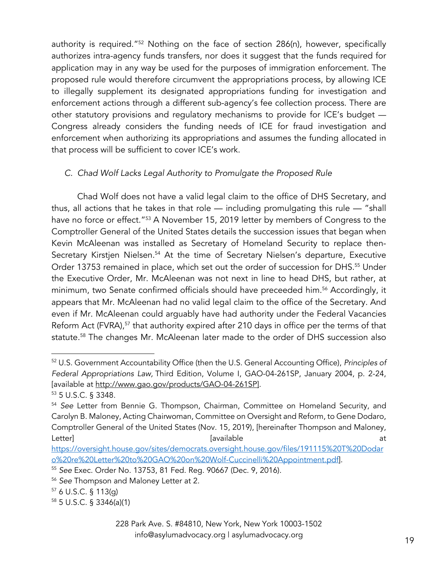authority is required."52 Nothing on the face of section 286(n), however, specifically authorizes intra-agency funds transfers, nor does it suggest that the funds required for application may in any way be used for the purposes of immigration enforcement. The proposed rule would therefore circumvent the appropriations process, by allowing ICE to illegally supplement its designated appropriations funding for investigation and enforcement actions through a different sub-agency's fee collection process. There are other statutory provisions and regulatory mechanisms to provide for ICE's budget — Congress already considers the funding needs of ICE for fraud investigation and enforcement when authorizing its appropriations and assumes the funding allocated in that process will be sufficient to cover ICE's work.

## *C. Chad Wolf Lacks Legal Authority to Promulgate the Proposed Rule*

Chad Wolf does not have a valid legal claim to the office of DHS Secretary, and thus, all actions that he takes in that role — including promulgating this rule — "shall have no force or effect."<sup>53</sup> A November 15, 2019 letter by members of Congress to the Comptroller General of the United States details the succession issues that began when Kevin McAleenan was installed as Secretary of Homeland Security to replace then-Secretary Kirstjen Nielsen.<sup>54</sup> At the time of Secretary Nielsen's departure, Executive Order 13753 remained in place, which set out the order of succession for DHS.<sup>55</sup> Under the Executive Order, Mr. McAleenan was not next in line to head DHS, but rather, at minimum, two Senate confirmed officials should have preceeded him.<sup>56</sup> Accordingly, it appears that Mr. McAleenan had no valid legal claim to the office of the Secretary. And even if Mr. McAleenan could arguably have had authority under the Federal Vacancies Reform Act (FVRA),<sup>57</sup> that authority expired after 210 days in office per the terms of that statute.<sup>58</sup> The changes Mr. McAleenan later made to the order of DHS succession also

<sup>52</sup> U.S. Government Accountability Office (then the U.S. General Accounting Office), *Principles of Federal Appropriations Law,* Third Edition, Volume I, GAO-04-261SP, January 2004, p. 2-24, [available at http://www.gao.gov/products/GAO-04-261SP].

<sup>53</sup> 5 U.S.C. § 3348.

<sup>54</sup> *See* Letter from Bennie G. Thompson, Chairman, Committee on Homeland Security, and Carolyn B. Maloney, Acting Chairwoman, Committee on Oversight and Reform, to Gene Dodaro, Comptroller General of the United States (Nov. 15, 2019), [hereinafter Thompson and Maloney, Letter] [available at

https://oversight.house.gov/sites/democrats.oversight.house.gov/files/191115%20T%20Dodar o%20re%20Letter%20to%20GAO%20on%20Wolf-Cuccinelli%20Appointment.pdf].

<sup>55</sup> *See* Exec. Order No. 13753, 81 Fed. Reg. 90667 (Dec. 9, 2016).

<sup>56</sup> *See* Thompson and Maloney Letter at 2.

<sup>57</sup> 6 U.S.C. § 113(g)

<sup>58</sup> 5 U.S.C. § 3346(a)(1)